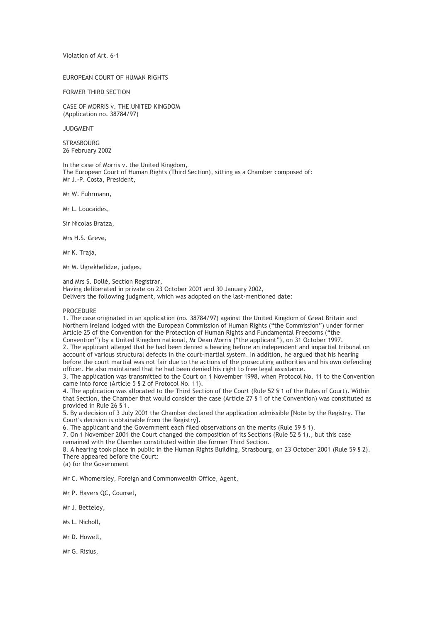Violation of Art. 6-1

## EUROPEAN COURT OF HUMAN RIGHTS

FORMER THIRD SECTION

CASE OF MORRIS v. THE UNITED KINGDOM (Application no. 38784/97)

JUDGMENT

**STRASBOURG** 26 February 2002

In the case of Morris v. the United Kingdom, The European Court of Human Rights (Third Section), sitting as a Chamber composed of: Mr J.-P. Costa, President,

Mr W. Fuhrmann,

Mr L. Loucaides,

Sir Nicolas Bratza,

Mrs H.S. Greve,

Mr K. Traja,

Mr M. Ugrekhelidze, judges,

and Mrs S. Dollé, Section Registrar, Having deliberated in private on 23 October 2001 and 30 January 2002, Delivers the following judgment, which was adopted on the last-mentioned date:

PROCEDURE

1. The case originated in an application (no. 38784/97) against the United Kingdom of Great Britain and Northern Ireland lodged with the European Commission of Human Rights ("the Commission") under former Article 25 of the Convention for the Protection of Human Rights and Fundamental Freedoms ("the Convention") by a United Kingdom national, Mr Dean Morris ("the applicant"), on 31 October 1997. 2. The applicant alleged that he had been denied a hearing before an independent and impartial tribunal on account of various structural defects in the court-martial system. In addition, he argued that his hearing before the court martial was not fair due to the actions of the prosecuting authorities and his own defending officer. He also maintained that he had been denied his right to free legal assistance.

3. The application was transmitted to the Court on 1 November 1998, when Protocol No. 11 to the Convention came into force (Article 5 § 2 of Protocol No. 11).

4. The application was allocated to the Third Section of the Court (Rule 52 § 1 of the Rules of Court). Within that Section, the Chamber that would consider the case (Article 27 § 1 of the Convention) was constituted as provided in Rule 26 § 1.

5. By a decision of 3 July 2001 the Chamber declared the application admissible [Note by the Registry. The Court's decision is obtainable from the Registry].

6. The applicant and the Government each filed observations on the merits (Rule 59 § 1).

7. On 1 November 2001 the Court changed the composition of its Sections (Rule 52 § 1)., but this case remained with the Chamber constituted within the former Third Section.

8. A hearing took place in public in the Human Rights Building, Strasbourg, on 23 October 2001 (Rule 59 § 2). There appeared before the Court:

(a) for the Government

Mr C. Whomersley, Foreign and Commonwealth Office, Agent,

Mr P. Havers QC, Counsel,

Mr J. Betteley,

Ms L. Nicholl,

Mr D. Howell,

Mr G. Risius,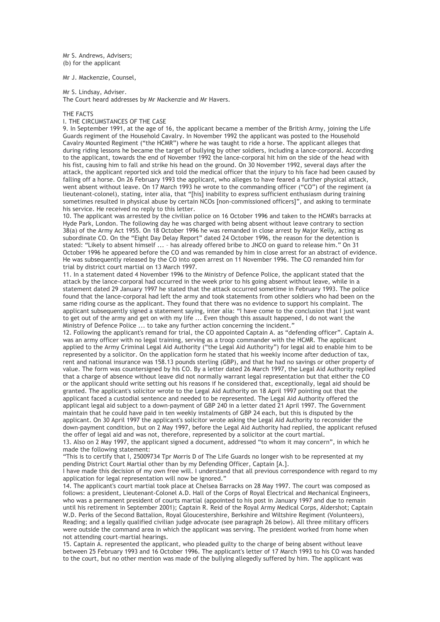Mr S. Andrews, Advisers; (b) for the applicant

Mr J. Mackenzie, Counsel,

Mr S. Lindsay, Adviser.

The Court heard addresses by Mr Mackenzie and Mr Havers.

### THE FACTS

# I. THE CIRCUMSTANCES OF THE CASE

9. In September 1991, at the age of 16, the applicant became a member of the British Army, joining the Life Guards regiment of the Household Cavalry. In November 1992 the applicant was posted to the Household Cavalry Mounted Regiment ("the HCMR") where he was taught to ride a horse. The applicant alleges that during riding lessons he became the target of bullying by other soldiers, including a lance-corporal. According to the applicant, towards the end of November 1992 the lance-corporal hit him on the side of the head with his fist, causing him to fall and strike his head on the ground. On 30 November 1992, several days after the attack, the applicant reported sick and told the medical officer that the injury to his face had been caused by falling off a horse. On 26 February 1993 the applicant, who alleges to have feared a further physical attack, went absent without leave. On 17 March 1993 he wrote to the commanding officer ("CO") of the regiment (a lieutenant-colonel), stating, inter alia, that "[his] inability to express sufficient enthusiasm during training sometimes resulted in physical abuse by certain NCOs [non-commissioned officers]", and asking to terminate his service. He received no reply to this letter.

10. The applicant was arrested by the civilian police on 16 October 1996 and taken to the HCMR's barracks at Hyde Park, London. The following day he was charged with being absent without leave contrary to section 38(a) of the Army Act 1955. On 18 October 1996 he was remanded in close arrest by Major Kelly, acting as subordinate CO. On the "Eight Day Delay Report" dated 24 October 1996, the reason for the detention is stated: "Likely to absent himself ... – has already offered bribe to JNCO on guard to release him." On 31 October 1996 he appeared before the CO and was remanded by him in close arrest for an abstract of evidence. He was subsequently released by the CO into open arrest on 11 November 1996. The CO remanded him for trial by district court martial on 13 March 1997.

11. In a statement dated 4 November 1996 to the Ministry of Defence Police, the applicant stated that the attack by the lance-corporal had occurred in the week prior to his going absent without leave, while in a statement dated 29 January 1997 he stated that the attack occurred sometime in February 1993. The police found that the lance-corporal had left the army and took statements from other soldiers who had been on the same riding course as the applicant. They found that there was no evidence to support his complaint. The applicant subsequently signed a statement saying, inter alia: "I have come to the conclusion that I just want to get out of the army and get on with my life ... Even though this assault happened, I do not want the Ministry of Defence Police ... to take any further action concerning the incident."

12. Following the applicant's remand for trial, the CO appointed Captain A. as "defending officer". Captain A. was an army officer with no legal training, serving as a troop commander with the HCMR. The applicant applied to the Army Criminal Legal Aid Authority ("the Legal Aid Authority") for legal aid to enable him to be represented by a solicitor. On the application form he stated that his weekly income after deduction of tax, rent and national insurance was 158.13 pounds sterling (GBP), and that he had no savings or other property of value. The form was countersigned by his CO. By a letter dated 26 March 1997, the Legal Aid Authority replied that a charge of absence without leave did not normally warrant legal representation but that either the CO or the applicant should write setting out his reasons if he considered that, exceptionally, legal aid should be granted. The applicant's solicitor wrote to the Legal Aid Authority on 18 April 1997 pointing out that the applicant faced a custodial sentence and needed to be represented. The Legal Aid Authority offered the applicant legal aid subject to a down-payment of GBP 240 in a letter dated 21 April 1997. The Government maintain that he could have paid in ten weekly instalments of GBP 24 each, but this is disputed by the applicant. On 30 April 1997 the applicant's solicitor wrote asking the Legal Aid Authority to reconsider the down-payment condition, but on 2 May 1997, before the Legal Aid Authority had replied, the applicant refused the offer of legal aid and was not, therefore, represented by a solicitor at the court martial.

13. Also on 2 May 1997, the applicant signed a document, addressed "to whom it may concern", in which he made the following statement:

"This is to certify that I, 25009734 Tpr Morris D of The Life Guards no longer wish to be represented at my pending District Court Martial other than by my Defending Officer, Captain [A.].

I have made this decision of my own free will. I understand that all previous correspondence with regard to my application for legal representation will now be ignored."

14. The applicant's court martial took place at Chelsea Barracks on 28 May 1997. The court was composed as follows: a president, Lieutenant-Colonel A.D. Hall of the Corps of Royal Electrical and Mechanical Engineers, who was a permanent president of courts martial (appointed to his post in January 1997 and due to remain until his retirement in September 2001); Captain R. Reid of the Royal Army Medical Corps, Aldershot; Captain W.D. Perks of the Second Battalion, Royal Gloucestershire, Berkshire and Wiltshire Regiment (Volunteers), Reading; and a legally qualified civilian judge advocate (see paragraph 26 below). All three military officers were outside the command area in which the applicant was serving. The president worked from home when not attending court-martial hearings.

15. Captain A. represented the applicant, who pleaded guilty to the charge of being absent without leave between 25 February 1993 and 16 October 1996. The applicant's letter of 17 March 1993 to his CO was handed to the court, but no other mention was made of the bullying allegedly suffered by him. The applicant was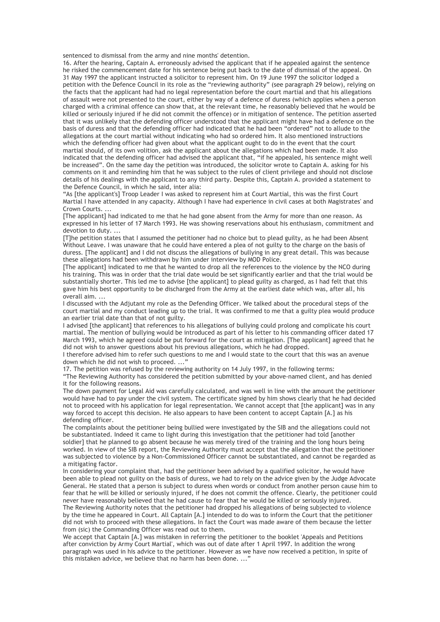sentenced to dismissal from the army and nine months' detention.

16. After the hearing, Captain A. erroneously advised the applicant that if he appealed against the sentence he risked the commencement date for his sentence being put back to the date of dismissal of the appeal. On 31 May 1997 the applicant instructed a solicitor to represent him. On 19 June 1997 the solicitor lodged a petition with the Defence Council in its role as the "reviewing authority" (see paragraph 29 below), relying on the facts that the applicant had had no legal representation before the court martial and that his allegations of assault were not presented to the court, either by way of a defence of duress (which applies when a person charged with a criminal offence can show that, at the relevant time, he reasonably believed that he would be killed or seriously injured if he did not commit the offence) or in mitigation of sentence. The petition asserted that it was unlikely that the defending officer understood that the applicant might have had a defence on the basis of duress and that the defending officer had indicated that he had been "ordered" not to allude to the allegations at the court martial without indicating who had so ordered him. It also mentioned instructions which the defending officer had given about what the applicant ought to do in the event that the court martial should, of its own volition, ask the applicant about the allegations which had been made. It also indicated that the defending officer had advised the applicant that, "if he appealed, his sentence might well be increased". On the same day the petition was introduced, the solicitor wrote to Captain A. asking for his comments on it and reminding him that he was subject to the rules of client privilege and should not disclose details of his dealings with the applicant to any third party. Despite this, Captain A. provided a statement to the Defence Council, in which he said, inter alia:

"As [the applicant's] Troop Leader I was asked to represent him at Court Martial, this was the first Court Martial I have attended in any capacity. Although I have had experience in civil cases at both Magistrates' and Crown Courts.

[The applicant] had indicated to me that he had gone absent from the Army for more than one reason. As expressed in his letter of 17 March 1993. He was showing reservations about his enthusiasm, commitment and devotion to duty. ...

[T]he petition states that I assumed the petitioner had no choice but to plead guilty, as he had been Absent Without Leave. I was unaware that he could have entered a plea of not guilty to the charge on the basis of duress. [The applicant] and I did not discuss the allegations of bullying in any great detail. This was because these allegations had been withdrawn by him under interview by MOD Police.

[The applicant] indicated to me that he wanted to drop all the references to the violence by the NCO during his training. This was in order that the trial date would be set significantly earlier and that the trial would be substantially shorter. This led me to advise [the applicant] to plead guilty as charged, as I had felt that this gave him his best opportunity to be discharged from the Army at the earliest date which was, after all, his overall aim. ...

I discussed with the Adjutant my role as the Defending Officer. We talked about the procedural steps of the court martial and my conduct leading up to the trial. It was confirmed to me that a guilty plea would produce an earlier trial date than that of not guilty.

I advised [the applicant] that references to his allegations of bullying could prolong and complicate his court martial. The mention of bullying would be introduced as part of his letter to his commanding officer dated 17 March 1993, which he agreed could be put forward for the court as mitigation. [The applicant] agreed that he did not wish to answer questions about his previous allegations, which he had dropped.

I therefore advised him to refer such questions to me and I would state to the court that this was an avenue down which he did not wish to proceed. ..."

17. The petition was refused by the reviewing authority on 14 July 1997, in the following terms:

"The Reviewing Authority has considered the petition submitted by your above-named client, and has denied it for the following reasons.

The down payment for Legal Aid was carefully calculated, and was well in line with the amount the petitioner would have had to pay under the civil system. The certificate signed by him shows clearly that he had decided not to proceed with his application for legal representation. We cannot accept that [the applicant] was in any way forced to accept this decision. He also appears to have been content to accept Captain [A.] as his defending officer.

The complaints about the petitioner being bullied were investigated by the SIB and the allegations could not be substantiated. Indeed it came to light during this investigation that the petitioner had told [another soldier] that he planned to go absent because he was merely tired of the training and the long hours being worked. In view of the SIB report, the Reviewing Authority must accept that the allegation that the petitioner was subjected to violence by a Non-Commissioned Officer cannot be substantiated, and cannot be regarded as a mitigating factor.

In considering your complaint that, had the petitioner been advised by a qualified solicitor, he would have been able to plead not guilty on the basis of duress, we had to rely on the advice given by the Judge Advocate General. He stated that a person is subject to duress when words or conduct from another person cause him to fear that he will be killed or seriously injured, if he does not commit the offence. Clearly, the petitioner could never have reasonably believed that he had cause to fear that he would be killed or seriously injured.

The Reviewing Authority notes that the petitioner had dropped his allegations of being subjected to violence by the time he appeared in Court. All Captain [A.] intended to do was to inform the Court that the petitioner did not wish to proceed with these allegations. In fact the Court was made aware of them because the letter from (sic) the Commanding Officer was read out to them.

We accept that Captain [A.] was mistaken in referring the petitioner to the booklet 'Appeals and Petitions after conviction by Army Court Martial', which was out of date after 1 April 1997. In addition the wrong paragraph was used in his advice to the petitioner. However as we have now received a petition, in spite of this mistaken advice, we believe that no harm has been done. ...'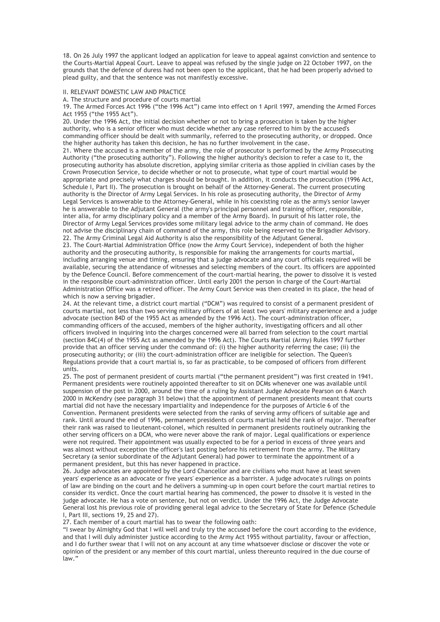18. On 26 July 1997 the applicant lodged an application for leave to appeal against conviction and sentence to the Courts-Martial Appeal Court. Leave to appeal was refused by the single judge on 22 October 1997, on the grounds that the defence of duress had not been open to the applicant, that he had been properly advised to plead guilty, and that the sentence was not manifestly excessive.

### II. RELEVANT DOMESTIC LAW AND PRACTICE

A. The structure and procedure of courts martial

19. The Armed Forces Act 1996 ("the 1996 Act") came into effect on 1 April 1997, amending the Armed Forces Act 1955 ("the 1955 Act").

20. Under the 1996 Act, the initial decision whether or not to bring a prosecution is taken by the higher authority, who is a senior officer who must decide whether any case referred to him by the accused's commanding officer should be dealt with summarily, referred to the prosecuting authority, or dropped. Once the higher authority has taken this decision, he has no further involvement in the case.

21. Where the accused is a member of the army, the role of prosecutor is performed by the Army Prosecuting Authority ("the prosecuting authority"). Following the higher authority's decision to refer a case to it, the prosecuting authority has absolute discretion, applying similar criteria as those applied in civilian cases by the Crown Prosecution Service, to decide whether or not to prosecute, what type of court martial would be appropriate and precisely what charges should be brought. In addition, it conducts the prosecution (1996 Act, Schedule I, Part II). The prosecution is brought on behalf of the Attorney-General. The current prosecuting authority is the Director of Army Legal Services. In his role as prosecuting authority, the Director of Army Legal Services is answerable to the Attorney-General, while in his coexisting role as the army's senior lawyer he is answerable to the Adjutant General (the army's principal personnel and training officer, responsible, inter alia, for army disciplinary policy and a member of the Army Board). In pursuit of his latter role, the Director of Army Legal Services provides some military legal advice to the army chain of command. He does not advise the disciplinary chain of command of the army, this role being reserved to the Brigadier Advisory. 22. The Army Criminal Legal Aid Authority is also the responsibility of the Adjutant General.

23. The Court-Martial Administration Office (now the Army Court Service), independent of both the higher authority and the prosecuting authority, is responsible for making the arrangements for courts martial, including arranging venue and timing, ensuring that a judge advocate and any court officials required will be available, securing the attendance of witnesses and selecting members of the court. Its officers are appointed by the Defence Council. Before commencement of the court-martial hearing, the power to dissolve it is vested in the responsible court-administration officer. Until early 2001 the person in charge of the Court-Martial Administration Office was a retired officer. The Army Court Service was then created in its place, the head of which is now a serving brigadier.

24. At the relevant time, a district court martial ("DCM") was required to consist of a permanent president of courts martial, not less than two serving military officers of at least two years' military experience and a judge advocate (section 84D of the 1955 Act as amended by the 1996 Act). The court-administration officer, commanding officers of the accused, members of the higher authority, investigating officers and all other officers involved in inquiring into the charges concerned were all barred from selection to the court martial (section 84C(4) of the 1955 Act as amended by the 1996 Act). The Courts Martial (Army) Rules 1997 further provide that an officer serving under the command of: (i) the higher authority referring the case; (ii) the prosecuting authority; or (iii) the court-administration officer are ineligible for selection. The Queen's Regulations provide that a court martial is, so far as practicable, to be composed of officers from different units.

25. The post of permanent president of courts martial ("the permanent president") was first created in 1941. Permanent presidents were routinely appointed thereafter to sit on DCMs whenever one was available until suspension of the post in 2000, around the time of a ruling by Assistant Judge Advocate Pearson on 6 March 2000 in McKendry (see paragraph 31 below) that the appointment of permanent presidents meant that courts martial did not have the necessary impartiality and independence for the purposes of Article 6 of the Convention. Permanent presidents were selected from the ranks of serving army officers of suitable age and rank. Until around the end of 1996, permanent presidents of courts martial held the rank of major. Thereafter their rank was raised to lieutenant-colonel, which resulted in permanent presidents routinely outranking the other serving officers on a DCM, who were never above the rank of major. Legal qualifications or experience were not required. Their appointment was usually expected to be for a period in excess of three years and was almost without exception the officer's last posting before his retirement from the army. The Military Secretary (a senior subordinate of the Adjutant General) had power to terminate the appointment of a permanent president, but this has never happened in practice.

26. Judge advocates are appointed by the Lord Chancellor and are civilians who must have at least seven years' experience as an advocate or five years' experience as a barrister. A judge advocate's rulings on points of law are binding on the court and he delivers a summing-up in open court before the court martial retires to consider its verdict. Once the court martial hearing has commenced, the power to dissolve it is vested in the judge advocate. He has a vote on sentence, but not on verdict. Under the 1996 Act, the Judge Advocate General lost his previous role of providing general legal advice to the Secretary of State for Defence (Schedule I, Part III, sections 19, 25 and 27).

27. Each member of a court martial has to swear the following oath:

"I swear by Almighty God that I will well and truly try the accused before the court according to the evidence, and that I will duly administer justice according to the Army Act 1955 without partiality, favour or affection, and I do further swear that I will not on any account at any time whatsoever disclose or discover the vote or opinion of the president or any member of this court martial, unless thereunto required in the due course of law."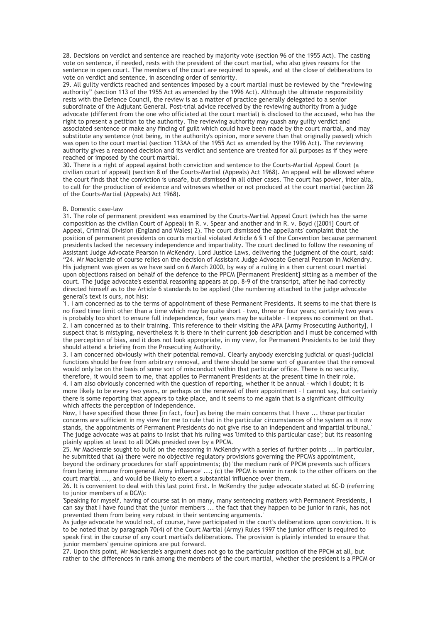28. Decisions on verdict and sentence are reached by majority vote (section 96 of the 1955 Act). The casting vote on sentence, if needed, rests with the president of the court martial, who also gives reasons for the sentence in open court. The members of the court are required to speak, and at the close of deliberations to vote on verdict and sentence, in ascending order of seniority.

29. All guilty verdicts reached and sentences imposed by a court martial must be reviewed by the "reviewing authority" (section 113 of the 1955 Act as amended by the 1996 Act). Although the ultimate responsibility rests with the Defence Council, the review is as a matter of practice generally delegated to a senior subordinate of the Adjutant General. Post-trial advice received by the reviewing authority from a judge advocate (different from the one who officiated at the court martial) is disclosed to the accused, who has the right to present a petition to the authority. The reviewing authority may quash any guilty verdict and associated sentence or make any finding of guilt which could have been made by the court martial, and may substitute any sentence (not being, in the authority's opinion, more severe than that originally passed) which was open to the court martial (section 113AA of the 1955 Act as amended by the 1996 Act). The reviewing authority gives a reasoned decision and its verdict and sentence are treated for all purposes as if they were reached or imposed by the court martial.

30. There is a right of appeal against both conviction and sentence to the Courts-Martial Appeal Court (a civilian court of appeal) (section 8 of the Courts-Martial (Appeals) Act 1968). An appeal will be allowed where the court finds that the conviction is unsafe, but dismissed in all other cases. The court has power, inter alia, to call for the production of evidence and witnesses whether or not produced at the court martial (section 28 of the Courts-Martial (Appeals) Act 1968).

#### B. Domestic case-law

31. The role of permanent president was examined by the Courts-Martial Appeal Court (which has the same composition as the civilian Court of Appeal) in R. v. Spear and another and in R. v. Boyd ([2001] Court of Appeal, Criminal Division (England and Wales) 2). The court dismissed the appellants' complaint that the position of permanent presidents on courts martial violated Article 6 § 1 of the Convention because permanent presidents lacked the necessary independence and impartiality. The court declined to follow the reasoning of Assistant Judge Advocate Pearson in McKendry. Lord Justice Laws, delivering the judgment of the court, said: "24. Mr Mackenzie of course relies on the decision of Assistant Judge Advocate General Pearson in McKendry. His judgment was given as we have said on 6 March 2000, by way of a ruling in a then current court martial upon objections raised on behalf of the defence to the PPCM [Permanent President] sitting as a member of the court. The judge advocate's essential reasoning appears at pp. 8-9 of the transcript, after he had correctly directed himself as to the Article 6 standards to be applied (the numbering attached to the judge advocate general's text is ours, not his):

'1. I am concerned as to the terms of appointment of these Permanent Presidents. It seems to me that there is no fixed time limit other than a time which may be quite short – two, three or four years; certainly two years is probably too short to ensure full independence, four years may be suitable – I express no comment on that. 2. I am concerned as to their training. This reference to their visiting the APA [Army Prosecuting Authority], I suspect that is mistyping, nevertheless it is there in their current job description and I must be concerned with the perception of bias, and it does not look appropriate, in my view, for Permanent Presidents to be told they should attend a briefing from the Prosecuting Authority.

3. I am concerned obviously with their potential removal. Clearly anybody exercising judicial or quasi-judicial functions should be free from arbitrary removal, and there should be some sort of guarantee that the removal would only be on the basis of some sort of misconduct within that particular office. There is no security, therefore, it would seem to me, that applies to Permanent Presidents at the present time in their role. 4. I am also obviously concerned with the question of reporting, whether it be annual – which I doubt; it is more likely to be every two years, or perhaps on the renewal of their appointment – I cannot say, but certainly

there is some reporting that appears to take place, and it seems to me again that is a significant difficulty which affects the perception of independence. Now, I have specified those three [in fact, four] as being the main concerns that I have ... those particular

concerns are sufficient in my view for me to rule that in the particular circumstances of the system as it now stands, the appointments of Permanent Presidents do not give rise to an independent and impartial tribunal.' The judge advocate was at pains to insist that his ruling was 'limited to this particular case'; but its reasoning plainly applies at least to all DCMs presided over by a PPCM.

25. Mr Mackenzie sought to build on the reasoning in McKendry with a series of further points ... In particular, he submitted that (a) there were no objective regulatory provisions governing the PPCM's appointment,

beyond the ordinary procedures for staff appointments; (b) 'the medium rank of PPCM prevents such officers from being immune from general Army influence' ...; (c) the PPCM is senior in rank to the other officers on the court martial ..., and would be likely to exert a substantial influence over them.

26. It is convenient to deal with this last point first. In McKendry the judge advocate stated at 6C-D (referring to junior members of a DCM):

'Speaking for myself, having of course sat in on many, many sentencing matters with Permanent Presidents, I can say that I have found that the junior members ... the fact that they happen to be junior in rank, has not prevented them from being very robust in their sentencing arguments.'

As judge advocate he would not, of course, have participated in the court's deliberations upon conviction. It is to be noted that by paragraph 70(4) of the Court Martial (Army) Rules 1997 the junior officer is required to speak first in the course of any court martial's deliberations. The provision is plainly intended to ensure that junior members' genuine opinions are put forward.

27. Upon this point, Mr Mackenzie's argument does not go to the particular position of the PPCM at all, but rather to the differences in rank among the members of the court martial, whether the president is a PPCM or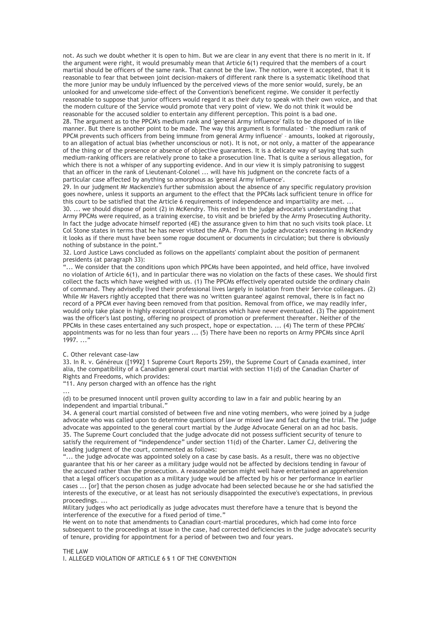not. As such we doubt whether it is open to him. But we are clear in any event that there is no merit in it. If the argument were right, it would presumably mean that Article 6(1) required that the members of a court martial should be officers of the same rank. That cannot be the law. The notion, were it accepted, that it is reasonable to fear that between joint decision-makers of different rank there is a systematic likelihood that the more junior may be unduly influenced by the perceived views of the more senior would, surely, be an unlooked for and unwelcome side-effect of the Convention's beneficent regime. We consider it perfectly reasonable to suppose that junior officers would regard it as their duty to speak with their own voice, and that the modern culture of the Service would promote that very point of view. We do not think it would be reasonable for the accused soldier to entertain any different perception. This point is a bad one.

28. The argument as to the PPCM's medium rank and 'general Army influence' falls to be disposed of in like manner. But there is another point to be made. The way this argument is formulated – 'the medium rank of PPCM prevents such officers from being immune from general Army influence' – amounts, looked at rigorously, to an allegation of actual bias (whether unconscious or not). It is not, or not only, a matter of the appearance of the thing or of the presence or absence of objective guarantees. It is a delicate way of saying that such medium-ranking officers are relatively prone to take a prosecution line. That is quite a serious allegation, for which there is not a whisper of any supporting evidence. And in our view it is simply patronising to suggest that an officer in the rank of Lieutenant-Colonel ... will have his judgment on the concrete facts of a particular case affected by anything so amorphous as 'general Army influence'.

29. In our judgment Mr Mackenzie's further submission about the absence of any specific regulatory provision goes nowhere, unless it supports an argument to the effect that the PPCMs lack sufficient tenure in office for this court to be satisfied that the Article 6 requirements of independence and impartiality are met. ... 30. ... we should dispose of point (2) in McKendry. This rested in the judge advocate's understanding that Army PPCMs were required, as a training exercise, to visit and be briefed by the Army Prosecuting Authority. In fact the judge advocate himself reported (4E) the assurance given to him that no such visits took place. Lt Col Stone states in terms that he has never visited the APA. From the judge advocate's reasoning in McKendry it looks as if there must have been some rogue document or documents in circulation; but there is obviously nothing of substance in the point."

32. Lord Justice Laws concluded as follows on the appellants' complaint about the position of permanent presidents (at paragraph 33):

... We consider that the conditions upon which PPCMs have been appointed, and held office, have involved no violation of Article 6(1), and in particular there was no violation on the facts of these cases. We should first collect the facts which have weighed with us. (1) The PPCMs effectively operated outside the ordinary chain of command. They advisedly lived their professional lives largely in isolation from their Service colleagues. (2) While Mr Havers rightly accepted that there was no 'written guarantee' against removal, there is in fact no record of a PPCM ever having been removed from that position. Removal from office, we may readily infer, would only take place in highly exceptional circumstances which have never eventuated. (3) The appointment was the officer's last posting, offering no prospect of promotion or preferment thereafter. Neither of the PPCMs in these cases entertained any such prospect, hope or expectation. ... (4) The term of these PPCMs' appointments was for no less than four years ... (5) There have been no reports on Army PPCMs since April 1997. ..."

C. Other relevant case-law

33. In R. v. Généreux ([1992] 1 Supreme Court Reports 259), the Supreme Court of Canada examined, inter alia, the compatibility of a Canadian general court martial with section 11(d) of the Canadian Charter of Rights and Freedoms, which provides:

"11. Any person charged with an offence has the right

... (d) to be presumed innocent until proven guilty according to law in a fair and public hearing by an independent and impartial tribunal."

34. A general court martial consisted of between five and nine voting members, who were joined by a judge advocate who was called upon to determine questions of law or mixed law and fact during the trial. The judge advocate was appointed to the general court martial by the Judge Advocate General on an ad hoc basis. 35. The Supreme Court concluded that the judge advocate did not possess sufficient security of tenure to satisfy the requirement of "independence" under section 11(d) of the Charter. Lamer CJ, delivering the leading judgment of the court, commented as follows:

"... the judge advocate was appointed solely on a case by case basis. As a result, there was no objective guarantee that his or her career as a military judge would not be affected by decisions tending in favour of the accused rather than the prosecution. A reasonable person might well have entertained an apprehension that a legal officer's occupation as a military judge would be affected by his or her performance in earlier cases ... [or] that the person chosen as judge advocate had been selected because he or she had satisfied the interests of the executive, or at least has not seriously disappointed the executive's expectations, in previous proceedings. ...

Military judges who act periodically as judge advocates must therefore have a tenure that is beyond the interference of the executive for a fixed period of time."

He went on to note that amendments to Canadian court-martial procedures, which had come into force subsequent to the proceedings at issue in the case, had corrected deficiencies in the judge advocate's security of tenure, providing for appointment for a period of between two and four years.

THE LAW I. ALLEGED VIOLATION OF ARTICLE 6 § 1 OF THE CONVENTION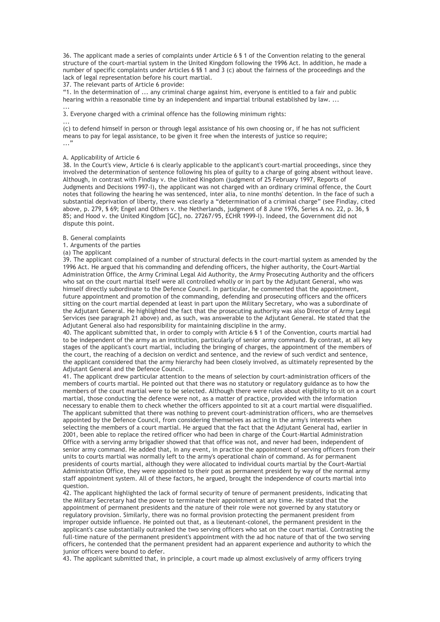36. The applicant made a series of complaints under Article 6 § 1 of the Convention relating to the general structure of the court-martial system in the United Kingdom following the 1996 Act. In addition, he made a number of specific complaints under Articles 6 §§ 1 and 3 (c) about the fairness of the proceedings and the lack of legal representation before his court martial.

37. The relevant parts of Article 6 provide:

"1. In the determination of ... any criminal charge against him, everyone is entitled to a fair and public hearing within a reasonable time by an independent and impartial tribunal established by law. ...

... 3. Everyone charged with a criminal offence has the following minimum rights:

... (c) to defend himself in person or through legal assistance of his own choosing or, if he has not sufficient means to pay for legal assistance, to be given it free when the interests of justice so require; ..."

# A. Applicability of Article 6

38. In the Court's view, Article 6 is clearly applicable to the applicant's court-martial proceedings, since they involved the determination of sentence following his plea of guilty to a charge of going absent without leave. Although, in contrast with Findlay v. the United Kingdom (judgment of 25 February 1997, Reports of Judgments and Decisions 1997-I), the applicant was not charged with an ordinary criminal offence, the Court notes that following the hearing he was sentenced, inter alia, to nine months' detention. In the face of such a substantial deprivation of liberty, there was clearly a "determination of a criminal charge" (see Findlay, cited above, p. 279, § 69; Engel and Others v. the Netherlands, judgment of 8 June 1976, Series A no. 22, p. 36, § 85; and Hood v. the United Kingdom [GC], no. 27267/95, ECHR 1999-I). Indeed, the Government did not dispute this point.

### B. General complaints

1. Arguments of the parties

(a) The applicant

39. The applicant complained of a number of structural defects in the court-martial system as amended by the 1996 Act. He argued that his commanding and defending officers, the higher authority, the Court-Martial Administration Office, the Army Criminal Legal Aid Authority, the Army Prosecuting Authority and the officers who sat on the court martial itself were all controlled wholly or in part by the Adjutant General, who was himself directly subordinate to the Defence Council. In particular, he commented that the appointment, future appointment and promotion of the commanding, defending and prosecuting officers and the officers sitting on the court martial depended at least in part upon the Military Secretary, who was a subordinate of the Adjutant General. He highlighted the fact that the prosecuting authority was also Director of Army Legal Services (see paragraph 21 above) and, as such, was answerable to the Adjutant General. He stated that the Adjutant General also had responsibility for maintaining discipline in the army.

40. The applicant submitted that, in order to comply with Article 6 § 1 of the Convention, courts martial had to be independent of the army as an institution, particularly of senior army command. By contrast, at all key stages of the applicant's court martial, including the bringing of charges, the appointment of the members of the court, the reaching of a decision on verdict and sentence, and the review of such verdict and sentence, the applicant considered that the army hierarchy had been closely involved, as ultimately represented by the Adjutant General and the Defence Council.

41. The applicant drew particular attention to the means of selection by court-administration officers of the members of courts martial. He pointed out that there was no statutory or regulatory guidance as to how the members of the court martial were to be selected. Although there were rules about eligibility to sit on a court martial, those conducting the defence were not, as a matter of practice, provided with the information necessary to enable them to check whether the officers appointed to sit at a court martial were disqualified. The applicant submitted that there was nothing to prevent court-administration officers, who are themselves appointed by the Defence Council, from considering themselves as acting in the army's interests when selecting the members of a court martial. He argued that the fact that the Adjutant General had, earlier in 2001, been able to replace the retired officer who had been in charge of the Court-Martial Administration Office with a serving army brigadier showed that that office was not, and never had been, independent of senior army command. He added that, in any event, in practice the appointment of serving officers from their units to courts martial was normally left to the army's operational chain of command. As for permanent presidents of courts martial, although they were allocated to individual courts martial by the Court-Martial Administration Office, they were appointed to their post as permanent president by way of the normal army staff appointment system. All of these factors, he argued, brought the independence of courts martial into question.

42. The applicant highlighted the lack of formal security of tenure of permanent presidents, indicating that the Military Secretary had the power to terminate their appointment at any time. He stated that the appointment of permanent presidents and the nature of their role were not governed by any statutory or regulatory provision. Similarly, there was no formal provision protecting the permanent president from improper outside influence. He pointed out that, as a lieutenant-colonel, the permanent president in the applicant's case substantially outranked the two serving officers who sat on the court martial. Contrasting the full-time nature of the permanent president's appointment with the ad hoc nature of that of the two serving officers, he contended that the permanent president had an apparent experience and authority to which the junior officers were bound to defer.

43. The applicant submitted that, in principle, a court made up almost exclusively of army officers trying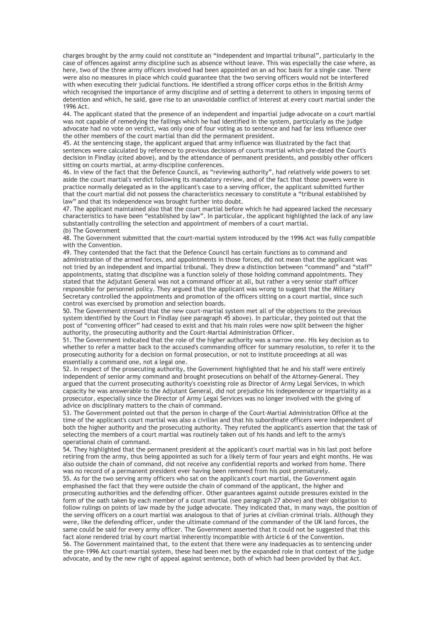charges brought by the army could not constitute an "independent and impartial tribunal", particularly in the case of offences against army discipline such as absence without leave. This was especially the case where, as here, two of the three army officers involved had been appointed on an ad hoc basis for a single case. There were also no measures in place which could guarantee that the two serving officers would not be interfered with when executing their judicial functions. He identified a strong officer corps ethos in the British Army which recognised the importance of army discipline and of setting a deterrent to others in imposing terms of detention and which, he said, gave rise to an unavoidable conflict of interest at every court martial under the 1996 Act.

44. The applicant stated that the presence of an independent and impartial judge advocate on a court martial was not capable of remedying the failings which he had identified in the system, particularly as the judge advocate had no vote on verdict, was only one of four voting as to sentence and had far less influence over the other members of the court martial than did the permanent president.

45. At the sentencing stage, the applicant argued that army influence was illustrated by the fact that sentences were calculated by reference to previous decisions of courts martial which pre-dated the Court's decision in Findlay (cited above), and by the attendance of permanent presidents, and possibly other officers sitting on courts martial, at army-discipline conferences.

46. In view of the fact that the Defence Council, as "reviewing authority", had relatively wide powers to set aside the court martial's verdict following its mandatory review, and of the fact that those powers were in practice normally delegated as in the applicant's case to a serving officer, the applicant submitted further that the court martial did not possess the characteristics necessary to constitute a "tribunal established by law" and that its independence was brought further into doubt.

47. The applicant maintained also that the court martial before which he had appeared lacked the necessary characteristics to have been "established by law". In particular, the applicant highlighted the lack of any law substantially controlling the selection and appointment of members of a court martial. (b) The Government

48. The Government submitted that the court-martial system introduced by the 1996 Act was fully compatible with the Convention.

49. They contended that the fact that the Defence Council has certain functions as to command and administration of the armed forces, and appointments in those forces, did not mean that the applicant was not tried by an independent and impartial tribunal. They drew a distinction between "command" and "staff" appointments, stating that discipline was a function solely of those holding command appointments. They stated that the Adjutant General was not a command officer at all, but rather a very senior staff officer responsible for personnel policy. They argued that the applicant was wrong to suggest that the Military Secretary controlled the appointments and promotion of the officers sitting on a court martial, since such control was exercised by promotion and selection boards.

50. The Government stressed that the new court-martial system met all of the objections to the previous system identified by the Court in Findlay (see paragraph 45 above). In particular, they pointed out that the post of "convening officer" had ceased to exist and that his main roles were now split between the higher authority, the prosecuting authority and the Court-Martial Administration Officer.

51. The Government indicated that the role of the higher authority was a narrow one. His key decision as to whether to refer a matter back to the accused's commanding officer for summary resolution, to refer it to the prosecuting authority for a decision on formal prosecution, or not to institute proceedings at all was essentially a command one, not a legal one.

52. In respect of the prosecuting authority, the Government highlighted that he and his staff were entirely independent of senior army command and brought prosecutions on behalf of the Attorney-General. They argued that the current prosecuting authority's coexisting role as Director of Army Legal Services, in which capacity he was answerable to the Adjutant General, did not prejudice his independence or impartiality as a prosecutor, especially since the Director of Army Legal Services was no longer involved with the giving of advice on disciplinary matters to the chain of command.

53. The Government pointed out that the person in charge of the Court-Martial Administration Office at the time of the applicant's court martial was also a civilian and that his subordinate officers were independent of both the higher authority and the prosecuting authority. They refuted the applicant's assertion that the task of selecting the members of a court martial was routinely taken out of his hands and left to the army's operational chain of command.

54. They highlighted that the permanent president at the applicant's court martial was in his last post before retiring from the army, thus being appointed as such for a likely term of four years and eight months. He was also outside the chain of command, did not receive any confidential reports and worked from home. There was no record of a permanent president ever having been removed from his post prematurely.

55. As for the two serving army officers who sat on the applicant's court martial, the Government again emphasised the fact that they were outside the chain of command of the applicant, the higher and prosecuting authorities and the defending officer. Other guarantees against outside pressures existed in the form of the oath taken by each member of a court martial (see paragraph 27 above) and their obligation to follow rulings on points of law made by the judge advocate. They indicated that, in many ways, the position of the serving officers on a court martial was analogous to that of juries at civilian criminal trials. Although they were, like the defending officer, under the ultimate command of the commander of the UK land forces, the same could be said for every army officer. The Government asserted that it could not be suggested that this fact alone rendered trial by court martial inherently incompatible with Article 6 of the Convention.

56. The Government maintained that, to the extent that there were any inadequacies as to sentencing under the pre-1996 Act court-martial system, these had been met by the expanded role in that context of the judge advocate, and by the new right of appeal against sentence, both of which had been provided by that Act.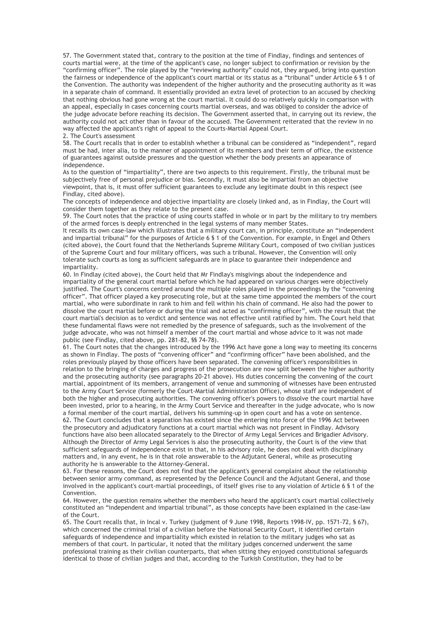57. The Government stated that, contrary to the position at the time of Findlay, findings and sentences of courts martial were, at the time of the applicant's case, no longer subject to confirmation or revision by the "confirming officer". The role played by the "reviewing authority" could not, they argued, bring into question the fairness or independence of the applicant's court martial or its status as a "tribunal" under Article 6 § 1 of the Convention. The authority was independent of the higher authority and the prosecuting authority as it was in a separate chain of command. It essentially provided an extra level of protection to an accused by checking that nothing obvious had gone wrong at the court martial. It could do so relatively quickly in comparison with an appeal, especially in cases concerning courts martial overseas, and was obliged to consider the advice of the judge advocate before reaching its decision. The Government asserted that, in carrying out its review, the authority could not act other than in favour of the accused. The Government reiterated that the review in no way affected the applicant's right of appeal to the Courts-Martial Appeal Court. 2. The Court's assessment

58. The Court recalls that in order to establish whether a tribunal can be considered as "independent", regard must be had, inter alia, to the manner of appointment of its members and their term of office, the existence of guarantees against outside pressures and the question whether the body presents an appearance of independence.

As to the question of "impartiality", there are two aspects to this requirement. Firstly, the tribunal must be subjectively free of personal prejudice or bias. Secondly, it must also be impartial from an objective viewpoint, that is, it must offer sufficient guarantees to exclude any legitimate doubt in this respect (see Findlay, cited above).

The concepts of independence and objective impartiality are closely linked and, as in Findlay, the Court will consider them together as they relate to the present case.

59. The Court notes that the practice of using courts staffed in whole or in part by the military to try members of the armed forces is deeply entrenched in the legal systems of many member States.

It recalls its own case-law which illustrates that a military court can, in principle, constitute an "independent and impartial tribunal" for the purposes of Article 6 § 1 of the Convention. For example, in Engel and Others (cited above), the Court found that the Netherlands Supreme Military Court, composed of two civilian justices of the Supreme Court and four military officers, was such a tribunal. However, the Convention will only tolerate such courts as long as sufficient safeguards are in place to guarantee their independence and impartiality.

60. In Findlay (cited above), the Court held that Mr Findlay's misgivings about the independence and impartiality of the general court martial before which he had appeared on various charges were objectively justified. The Court's concerns centred around the multiple roles played in the proceedings by the "convening officer". That officer played a key prosecuting role, but at the same time appointed the members of the court martial, who were subordinate in rank to him and fell within his chain of command. He also had the power to dissolve the court martial before or during the trial and acted as "confirming officer", with the result that the court martial's decision as to verdict and sentence was not effective until ratified by him. The Court held that these fundamental flaws were not remedied by the presence of safeguards, such as the involvement of the judge advocate, who was not himself a member of the court martial and whose advice to it was not made public (see Findlay, cited above, pp. 281-82, §§ 74-78).

61. The Court notes that the changes introduced by the 1996 Act have gone a long way to meeting its concerns as shown in Findlay. The posts of "convening officer" and "confirming officer" have been abolished, and the roles previously played by those officers have been separated. The convening officer's responsibilities in relation to the bringing of charges and progress of the prosecution are now split between the higher authority and the prosecuting authority (see paragraphs 20-21 above). His duties concerning the convening of the court martial, appointment of its members, arrangement of venue and summoning of witnesses have been entrusted to the Army Court Service (formerly the Court-Martial Administration Office), whose staff are independent of both the higher and prosecuting authorities. The convening officer's powers to dissolve the court martial have been invested, prior to a hearing, in the Army Court Service and thereafter in the judge advocate, who is now a formal member of the court martial, delivers his summing-up in open court and has a vote on sentence.

62. The Court concludes that a separation has existed since the entering into force of the 1996 Act between the prosecutory and adjudicatory functions at a court martial which was not present in Findlay. Advisory functions have also been allocated separately to the Director of Army Legal Services and Brigadier Advisory. Although the Director of Army Legal Services is also the prosecuting authority, the Court is of the view that sufficient safeguards of independence exist in that, in his advisory role, he does not deal with disciplinary matters and, in any event, he is in that role answerable to the Adjutant General, while as prosecuting authority he is answerable to the Attorney-General.

63. For these reasons, the Court does not find that the applicant's general complaint about the relationship between senior army command, as represented by the Defence Council and the Adjutant General, and those involved in the applicant's court-martial proceedings, of itself gives rise to any violation of Article 6 § 1 of the Convention.

64. However, the question remains whether the members who heard the applicant's court martial collectively constituted an "independent and impartial tribunal", as those concepts have been explained in the case-law of the Court.

65. The Court recalls that, in Incal v. Turkey (judgment of 9 June 1998, Reports 1998-IV, pp. 1571-72, § 67), which concerned the criminal trial of a civilian before the National Security Court, it identified certain safeguards of independence and impartiality which existed in relation to the military judges who sat as members of that court. In particular, it noted that the military judges concerned underwent the same professional training as their civilian counterparts, that when sitting they enjoyed constitutional safeguards identical to those of civilian judges and that, according to the Turkish Constitution, they had to be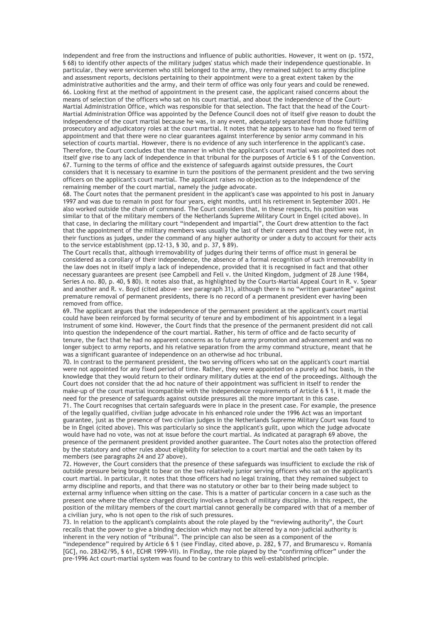independent and free from the instructions and influence of public authorities. However, it went on (p. 1572, § 68) to identify other aspects of the military judges' status which made their independence questionable. In particular, they were servicemen who still belonged to the army, they remained subject to army discipline and assessment reports, decisions pertaining to their appointment were to a great extent taken by the administrative authorities and the army, and their term of office was only four years and could be renewed. 66. Looking first at the method of appointment in the present case, the applicant raised concerns about the means of selection of the officers who sat on his court martial, and about the independence of the Court-Martial Administration Office, which was responsible for that selection. The fact that the head of the Court-Martial Administration Office was appointed by the Defence Council does not of itself give reason to doubt the independence of the court martial because he was, in any event, adequately separated from those fulfilling prosecutory and adjudicatory roles at the court martial. It notes that he appears to have had no fixed term of appointment and that there were no clear guarantees against interference by senior army command in his selection of courts martial. However, there is no evidence of any such interference in the applicant's case. Therefore, the Court concludes that the manner in which the applicant's court martial was appointed does not itself give rise to any lack of independence in that tribunal for the purposes of Article 6 § 1 of the Convention. 67. Turning to the terms of office and the existence of safeguards against outside pressures, the Court considers that it is necessary to examine in turn the positions of the permanent president and the two serving officers on the applicant's court martial. The applicant raises no objection as to the independence of the remaining member of the court martial, namely the judge advocate.

68. The Court notes that the permanent president in the applicant's case was appointed to his post in January 1997 and was due to remain in post for four years, eight months, until his retirement in September 2001. He also worked outside the chain of command. The Court considers that, in these respects, his position was similar to that of the military members of the Netherlands Supreme Military Court in Engel (cited above). In that case, in declaring the military court "independent and impartial", the Court drew attention to the fact that the appointment of the military members was usually the last of their careers and that they were not, in their functions as judges, under the command of any higher authority or under a duty to account for their acts to the service establishment (pp.12-13, § 30, and p. 37, § 89).

The Court recalls that, although irremovability of judges during their terms of office must in general be considered as a corollary of their independence, the absence of a formal recognition of such irremovability in the law does not in itself imply a lack of independence, provided that it is recognised in fact and that other necessary guarantees are present (see Campbell and Fell v. the United Kingdom, judgment of 28 June 1984, Series A no. 80, p. 40, § 80). It notes also that, as highlighted by the Courts-Martial Appeal Court in R. v. Spear and another and R. v. Boyd (cited above – see paragraph 31), although there is no "written guarantee" against premature removal of permanent presidents, there is no record of a permanent president ever having been removed from office.

69. The applicant argues that the independence of the permanent president at the applicant's court martial could have been reinforced by formal security of tenure and by embodiment of his appointment in a legal instrument of some kind. However, the Court finds that the presence of the permanent president did not call into question the independence of the court martial. Rather, his term of office and de facto security of tenure, the fact that he had no apparent concerns as to future army promotion and advancement and was no longer subject to army reports, and his relative separation from the army command structure, meant that he was a significant guarantee of independence on an otherwise ad hoc tribunal.

70. In contrast to the permanent president, the two serving officers who sat on the applicant's court martial were not appointed for any fixed period of time. Rather, they were appointed on a purely ad hoc basis, in the knowledge that they would return to their ordinary military duties at the end of the proceedings. Although the Court does not consider that the ad hoc nature of their appointment was sufficient in itself to render the make-up of the court martial incompatible with the independence requirements of Article 6 § 1, it made the need for the presence of safeguards against outside pressures all the more important in this case.

71. The Court recognises that certain safeguards were in place in the present case. For example, the presence of the legally qualified, civilian judge advocate in his enhanced role under the 1996 Act was an important guarantee, just as the presence of two civilian judges in the Netherlands Supreme Military Court was found to be in Engel (cited above). This was particularly so since the applicant's guilt, upon which the judge advocate would have had no vote, was not at issue before the court martial. As indicated at paragraph 69 above, the presence of the permanent president provided another guarantee. The Court notes also the protection offered by the statutory and other rules about eligibility for selection to a court martial and the oath taken by its members (see paragraphs 24 and 27 above).

72. However, the Court considers that the presence of these safeguards was insufficient to exclude the risk of outside pressure being brought to bear on the two relatively junior serving officers who sat on the applicant's court martial. In particular, it notes that those officers had no legal training, that they remained subject to army discipline and reports, and that there was no statutory or other bar to their being made subject to external army influence when sitting on the case. This is a matter of particular concern in a case such as the present one where the offence charged directly involves a breach of military discipline. In this respect, the position of the military members of the court martial cannot generally be compared with that of a member of a civilian jury, who is not open to the risk of such pressures.

73. In relation to the applicant's complaints about the role played by the "reviewing authority", the Court recalls that the power to give a binding decision which may not be altered by a non-judicial authority is inherent in the very notion of "tribunal". The principle can also be seen as a component of the

"independence" required by Article 6 § 1 (see Findlay, cited above, p. 282, § 77, and Brumarescu v. Romania [GC], no. 28342/95, § 61, ECHR 1999-VII). In Findlay, the role played by the "confirming officer" under the pre-1996 Act court-martial system was found to be contrary to this well-established principle.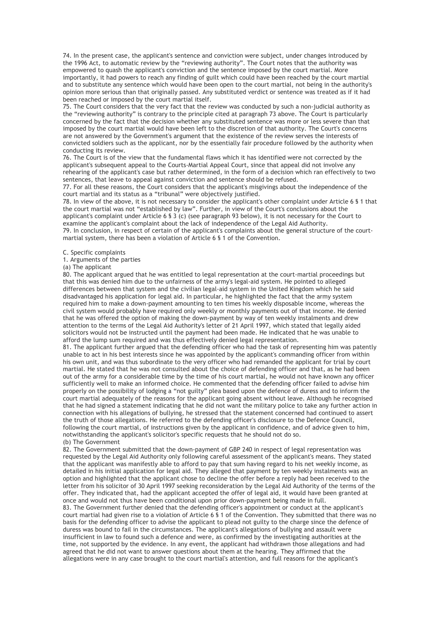74. In the present case, the applicant's sentence and conviction were subject, under changes introduced by the 1996 Act, to automatic review by the "reviewing authority". The Court notes that the authority was empowered to quash the applicant's conviction and the sentence imposed by the court martial. More importantly, it had powers to reach any finding of guilt which could have been reached by the court martial and to substitute any sentence which would have been open to the court martial, not being in the authority's opinion more serious than that originally passed. Any substituted verdict or sentence was treated as if it had been reached or imposed by the court martial itself.

75. The Court considers that the very fact that the review was conducted by such a non-judicial authority as the "reviewing authority" is contrary to the principle cited at paragraph 73 above. The Court is particularly concerned by the fact that the decision whether any substituted sentence was more or less severe than that imposed by the court martial would have been left to the discretion of that authority. The Court's concerns are not answered by the Government's argument that the existence of the review serves the interests of convicted soldiers such as the applicant, nor by the essentially fair procedure followed by the authority when conducting its review.

76. The Court is of the view that the fundamental flaws which it has identified were not corrected by the applicant's subsequent appeal to the Courts-Martial Appeal Court, since that appeal did not involve any rehearing of the applicant's case but rather determined, in the form of a decision which ran effectively to two sentences, that leave to appeal against conviction and sentence should be refused.

77. For all these reasons, the Court considers that the applicant's misgivings about the independence of the court martial and its status as a "tribunal" were objectively justified.

78. In view of the above, it is not necessary to consider the applicant's other complaint under Article 6 § 1 that the court martial was not "established by law". Further, in view of the Court's conclusions about the applicant's complaint under Article 6 § 3 (c) (see paragraph 93 below), it is not necessary for the Court to examine the applicant's complaint about the lack of independence of the Legal Aid Authority. 79. In conclusion, in respect of certain of the applicant's complaints about the general structure of the courtmartial system, there has been a violation of Article 6 § 1 of the Convention.

C. Specific complaints

1. Arguments of the parties

(a) The applicant

80. The applicant argued that he was entitled to legal representation at the court-martial proceedings but that this was denied him due to the unfairness of the army's legal-aid system. He pointed to alleged differences between that system and the civilian legal-aid system in the United Kingdom which he said disadvantaged his application for legal aid. In particular, he highlighted the fact that the army system required him to make a down-payment amounting to ten times his weekly disposable income, whereas the civil system would probably have required only weekly or monthly payments out of that income. He denied that he was offered the option of making the down-payment by way of ten weekly instalments and drew attention to the terms of the Legal Aid Authority's letter of 21 April 1997, which stated that legally aided solicitors would not be instructed until the payment had been made. He indicated that he was unable to afford the lump sum required and was thus effectively denied legal representation.

81. The applicant further argued that the defending officer who had the task of representing him was patently unable to act in his best interests since he was appointed by the applicant's commanding officer from within his own unit, and was thus subordinate to the very officer who had remanded the applicant for trial by court martial. He stated that he was not consulted about the choice of defending officer and that, as he had been out of the army for a considerable time by the time of his court martial, he would not have known any officer sufficiently well to make an informed choice. He commented that the defending officer failed to advise him properly on the possibility of lodging a "not guilty" plea based upon the defence of duress and to inform the court martial adequately of the reasons for the applicant going absent without leave. Although he recognised that he had signed a statement indicating that he did not want the military police to take any further action in connection with his allegations of bullying, he stressed that the statement concerned had continued to assert the truth of those allegations. He referred to the defending officer's disclosure to the Defence Council, following the court martial, of instructions given by the applicant in confidence, and of advice given to him, notwithstanding the applicant's solicitor's specific requests that he should not do so. (b) The Government

82. The Government submitted that the down-payment of GBP 240 in respect of legal representation was requested by the Legal Aid Authority only following careful assessment of the applicant's means. They stated that the applicant was manifestly able to afford to pay that sum having regard to his net weekly income, as detailed in his initial application for legal aid. They alleged that payment by ten weekly instalments was an option and highlighted that the applicant chose to decline the offer before a reply had been received to the letter from his solicitor of 30 April 1997 seeking reconsideration by the Legal Aid Authority of the terms of the offer. They indicated that, had the applicant accepted the offer of legal aid, it would have been granted at once and would not thus have been conditional upon prior down-payment being made in full.

83. The Government further denied that the defending officer's appointment or conduct at the applicant's court martial had given rise to a violation of Article 6 § 1 of the Convention. They submitted that there was no basis for the defending officer to advise the applicant to plead not guilty to the charge since the defence of duress was bound to fail in the circumstances. The applicant's allegations of bullying and assault were insufficient in law to found such a defence and were, as confirmed by the investigating authorities at the time, not supported by the evidence. In any event, the applicant had withdrawn those allegations and had agreed that he did not want to answer questions about them at the hearing. They affirmed that the allegations were in any case brought to the court martial's attention, and full reasons for the applicant's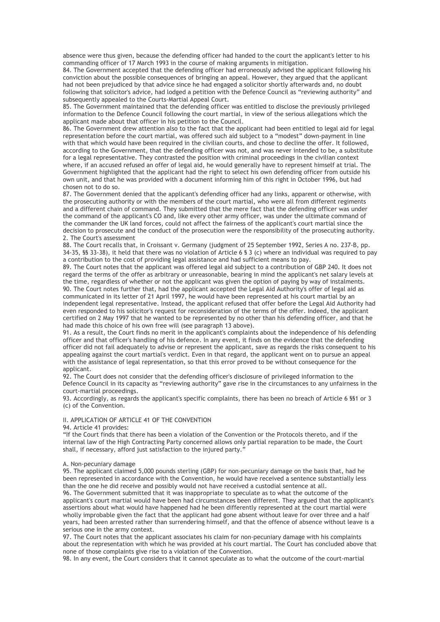absence were thus given, because the defending officer had handed to the court the applicant's letter to his commanding officer of 17 March 1993 in the course of making arguments in mitigation.

84. The Government accepted that the defending officer had erroneously advised the applicant following his conviction about the possible consequences of bringing an appeal. However, they argued that the applicant had not been prejudiced by that advice since he had engaged a solicitor shortly afterwards and, no doubt following that solicitor's advice, had lodged a petition with the Defence Council as "reviewing authority" and subsequently appealed to the Courts-Martial Appeal Court.

85. The Government maintained that the defending officer was entitled to disclose the previously privileged information to the Defence Council following the court martial, in view of the serious allegations which the applicant made about that officer in his petition to the Council.

86. The Government drew attention also to the fact that the applicant had been entitled to legal aid for legal representation before the court martial, was offered such aid subject to a "modest" down-payment in line with that which would have been required in the civilian courts, and chose to decline the offer. It followed, according to the Government, that the defending officer was not, and was never intended to be, a substitute for a legal representative. They contrasted the position with criminal proceedings in the civilian context where, if an accused refused an offer of legal aid, he would generally have to represent himself at trial. The Government highlighted that the applicant had the right to select his own defending officer from outside his own unit, and that he was provided with a document informing him of this right in October 1996, but had chosen not to do so.

87. The Government denied that the applicant's defending officer had any links, apparent or otherwise, with the prosecuting authority or with the members of the court martial, who were all from different regiments and a different chain of command. They submitted that the mere fact that the defending officer was under the command of the applicant's CO and, like every other army officer, was under the ultimate command of the commander the UK land forces, could not affect the fairness of the applicant's court martial since the decision to prosecute and the conduct of the prosecution were the responsibility of the prosecuting authority. 2. The Court's assessment

88. The Court recalls that, in Croissant v. Germany (judgment of 25 September 1992, Series A no. 237-B, pp. 34-35, §§ 33-38), it held that there was no violation of Article 6 § 3 (c) where an individual was required to pay a contribution to the cost of providing legal assistance and had sufficient means to pay.

89. The Court notes that the applicant was offered legal aid subject to a contribution of GBP 240. It does not regard the terms of the offer as arbitrary or unreasonable, bearing in mind the applicant's net salary levels at the time, regardless of whether or not the applicant was given the option of paying by way of instalments. 90. The Court notes further that, had the applicant accepted the Legal Aid Authority's offer of legal aid as communicated in its letter of 21 April 1997, he would have been represented at his court martial by an independent legal representative. Instead, the applicant refused that offer before the Legal Aid Authority had even responded to his solicitor's request for reconsideration of the terms of the offer. Indeed, the applicant certified on 2 May 1997 that he wanted to be represented by no other than his defending officer, and that he had made this choice of his own free will (see paragraph 13 above).

91. As a result, the Court finds no merit in the applicant's complaints about the independence of his defending officer and that officer's handling of his defence. In any event, it finds on the evidence that the defending officer did not fail adequately to advise or represent the applicant, save as regards the risks consequent to his appealing against the court martial's verdict. Even in that regard, the applicant went on to pursue an appeal with the assistance of legal representation, so that this error proved to be without consequence for the applicant.

92. The Court does not consider that the defending officer's disclosure of privileged information to the Defence Council in its capacity as "reviewing authority" gave rise in the circumstances to any unfairness in the court-martial proceedings.

93. Accordingly, as regards the applicant's specific complaints, there has been no breach of Article 6 §§1 or 3 (c) of the Convention.

### II. APPLICATION OF ARTICLE 41 OF THE CONVENTION

94. Article 41 provides:

"If the Court finds that there has been a violation of the Convention or the Protocols thereto, and if the internal law of the High Contracting Party concerned allows only partial reparation to be made, the Court shall, if necessary, afford just satisfaction to the injured party.<sup> $\dot{y}$ </sup>

# A. Non-pecuniary damage

95. The applicant claimed 5,000 pounds sterling (GBP) for non-pecuniary damage on the basis that, had he been represented in accordance with the Convention, he would have received a sentence substantially less than the one he did receive and possibly would not have received a custodial sentence at all. 96. The Government submitted that it was inappropriate to speculate as to what the outcome of the applicant's court martial would have been had circumstances been different. They argued that the applicant's assertions about what would have happened had he been differently represented at the court martial were wholly improbable given the fact that the applicant had gone absent without leave for over three and a half years, had been arrested rather than surrendering himself, and that the offence of absence without leave is a serious one in the army context.

97. The Court notes that the applicant associates his claim for non-pecuniary damage with his complaints about the representation with which he was provided at his court martial. The Court has concluded above that none of those complaints give rise to a violation of the Convention.

98. In any event, the Court considers that it cannot speculate as to what the outcome of the court-martial